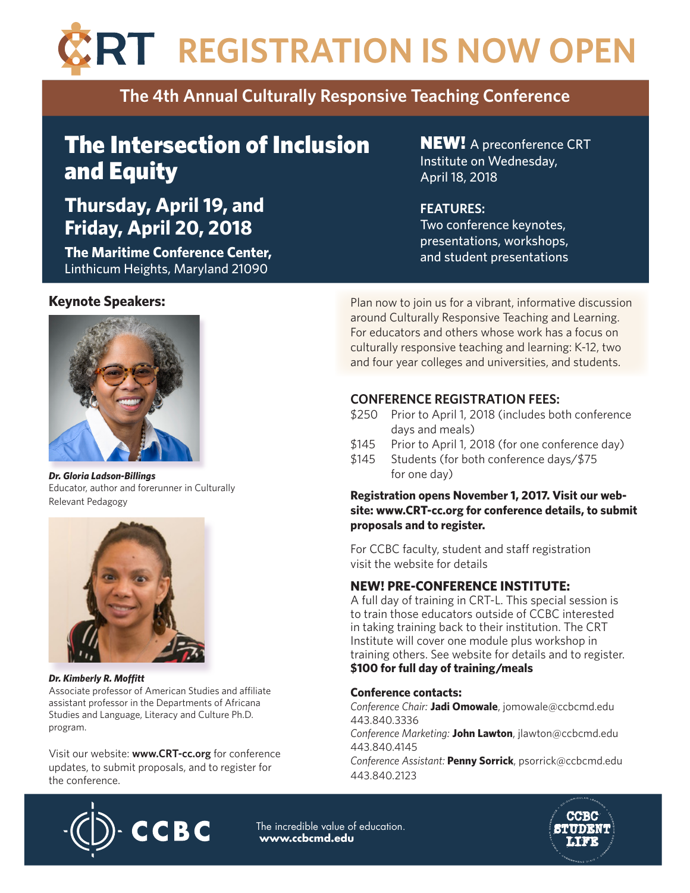# **RT REGISTRATION IS NOW OPEN**

## **The 4th Annual Culturally Responsive Teaching Conference**

# The Intersection of Inclusion and Equity

# **Thursday, April 19, and Friday, April 20, 2018**

**The Maritime Conference Center,**  Linthicum Heights, Maryland 21090

#### **Keynote Speakers:**



*Dr. Gloria Ladson-Billings* Educator, author and forerunner in Culturally Relevant Pedagogy



#### *Dr. Kimberly R. Moftt*

Associate professor of American Studies and affiliate assistant professor in the Departments of Africana Studies and Language, Literacy and Culture Ph.D. program.

Visit our website: **www.CRT-cc.org** for conference updates, to submit proposals, and to register for the conference.

**NEW!** A preconference CRT Institute on Wednesday, April 18, 2018

### **FEATURES:**

Two conference keynotes, presentations, workshops, and student presentations

Plan now to join us for a vibrant, informative discussion around Culturally Responsive Teaching and Learning. For educators and others whose work has a focus on culturally responsive teaching and learning: K-12, two and four year colleges and universities, and students.

## **CONFERENCE REGISTRATION FEES:**

- \$250 Prior to April 1, 2018 (includes both conference days and meals)
- \$145 Prior to April 1, 2018 (for one conference day)
- \$145 Students (for both conference days/\$75 for one day)

#### **Registration opens November 1, 2017. Visit our website: www.CRT-cc.org for conference details, to submit proposals and to register.**

For CCBC faculty, student and staff registration visit the website for details

## **NEW! PRE-CONFERENCE INSTITUTE:**

A full day of training in CRT-L. This special session is to train those educators outside of CCBC interested in taking training back to their institution. The CRT Institute will cover one module plus workshop in training others. See website for details and to register. **\$100 for full day of training/meals**

#### **Conference contacts:**

*Conference Chair:* **Jadi Omowale**, jomowale@ccbcmd.edu 443.840.3336 *Conference Marketing:* **John Lawton**, jlawton@ccbcmd.edu 443.840.4145

*Conference Assistant:* **Penny Sorrick**, psorrick@ccbcmd.edu 443.840.2123



The incredible value of education. **www.ccbcmd.edu**